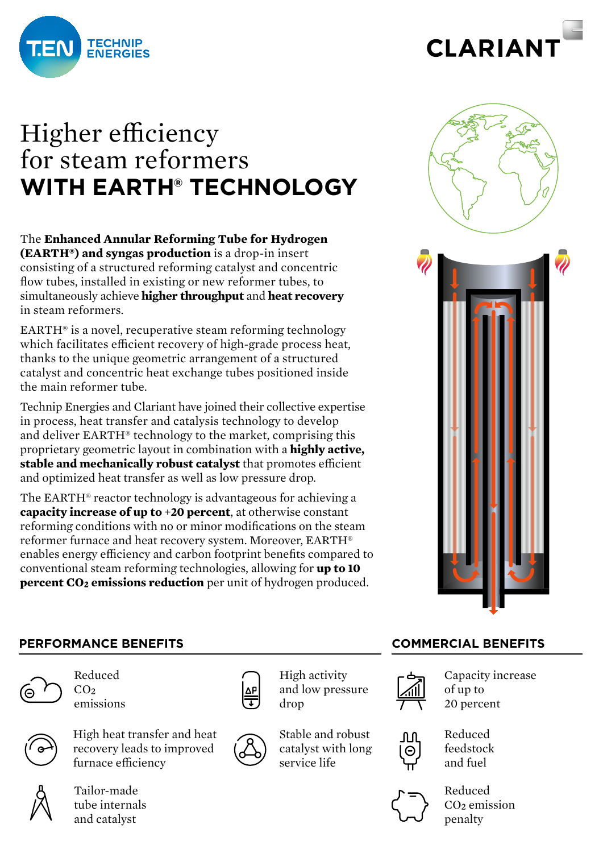



# Higher efficiency for steam reformers **WITH EARTH® TECHNOLOGY**

The **Enhanced Annular Reforming Tube for Hydrogen (EARTH®) and syngas production** is a drop-in insert consisting of a structured reforming catalyst and concentric flow tubes, installed in existing or new reformer tubes, to simultaneously achieve **higher throughput** and **heat recovery** in steam reformers.

EARTH® is a novel, recuperative steam reforming technology which facilitates efficient recovery of high-grade process heat, thanks to the unique geometric arrangement of a structured catalyst and concentric heat exchange tubes positioned inside the main reformer tube.

Technip Energies and Clariant have joined their collective expertise in process, heat transfer and catalysis technology to develop and deliver EARTH® technology to the market, comprising this proprietary geometric layout in combination with a **highly active, stable and mechanically robust catalyst** that promotes efficient and optimized heat transfer as well as low pressure drop.

The EARTH® reactor technology is advantageous for achieving a **capacity increase of up to +20 percent**, at otherwise constant reforming conditions with no or minor modifications on the steam reformer furnace and heat recovery system. Moreover, EARTH® enables energy efficiency and carbon footprint benefits compared to conventional steam reforming technologies, allowing for **up to 10 percent CO<sub>2</sub> emissions reduction** per unit of hydrogen produced.



# **PERFORMANCE BENEFITS COMMERCIAL BENEFITS**



Reduced  $CO<sub>2</sub>$ emissions



High heat transfer and heat recovery leads to improved furnace efficiency



Tailor-made tube internals and catalyst



High activity and low pressure drop





Capacity increase of up to 20 percent



Reduced feedstock and fuel



Reduced CO2 emission penalty